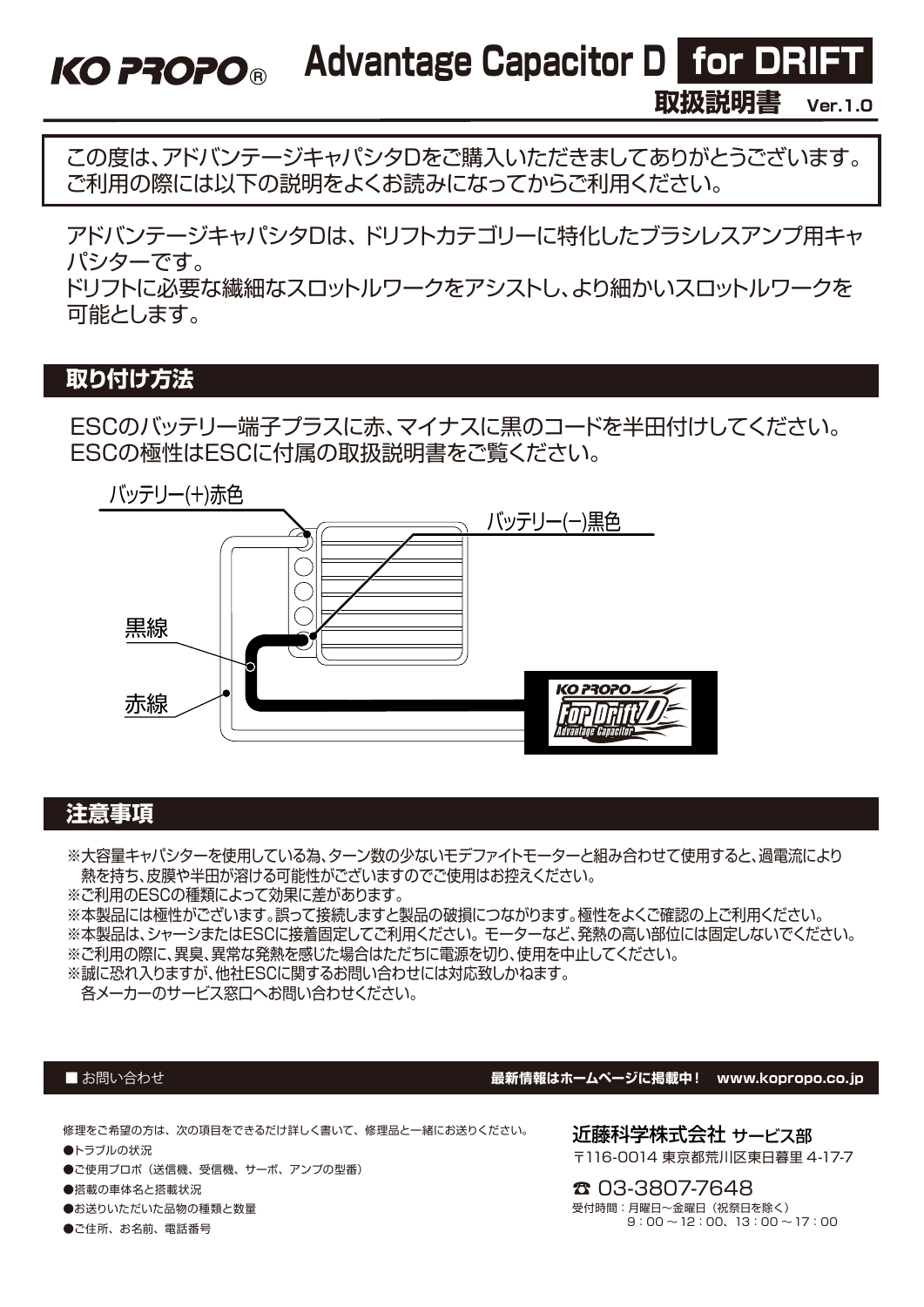Advantage Capacitor D for DRIFT

**取扱説明書 Ver.1.0**

この度は、アドバンテージキャパシタDをご購入いただきましてありがとうございます。 ご利用の際には以下の説明をよくお読みになってからご利用ください。

アドバンテージキャパシタDは、 ドリフトカテゴリーに特化したブラシレスアンプ用キャ パシターです。

ドリフトに必要な繊細なスロットルワークをアシストし、より細かいスロットルワークを 可能とします。

# **取り付け方法**

**KO PROPO®** 

ESCのバッテリー端子プラスに赤、マイナスに黒のコードを半田付けしてください。 ESCの極性はESCに付属の取扱説明書をご覧ください。



## **注意事項**

※大容量キャパシターを使用している為、ターン数の少ないモデファイトモーターと組み合わせて使用すると、過電流により 熱を持ち、皮膜や半田が溶ける可能性がございますのでご使用はお控えください。

※ご利用のESCの種類によって効果に差があります。

※本製品には極性がございます。誤って接続しますと製品の破損につながります。極性をよくご確認の上ご利用ください。

※本製品は、シャーシまたはESCに接着固定してご利用ください。 モーターなど、発熱の高い部位には固定しないでください。

※ご利用の際に、異臭、異常な発熱を感じた場合はただちに電源を切り、使用を中止してください。

※誠に恐れ入りますが、他社ESCに関するお問い合わせには対応致しかねます。

各メーカーのサービス窓口へお問い合わせください。

#### ■お問い合わせ

#### **最新情報はホームページに掲載中! www.kopropo.co.jp**

修理をご希望の方は、次の項目をできるだけ詳しく書いて、修理品と一緒にお送りください。

- ●トラブルの状況
- ●ご使用プロポ(送信機、受信機、サーボ、アンプの型番)
- ●搭載の車体名と搭載状況
- ●お送りいただいた品物の種類と数量
- ●ご住所、お名前、電話番号

近藤科学株式会社 サービス部 〒116-0014 東京都荒川区東日暮里 4-17-7

☎ 03-3807-7648 受付時間:月曜日~金曜日(祝祭日を除く)  $9:00 \sim 12:00, 13:00 \sim 17:00$